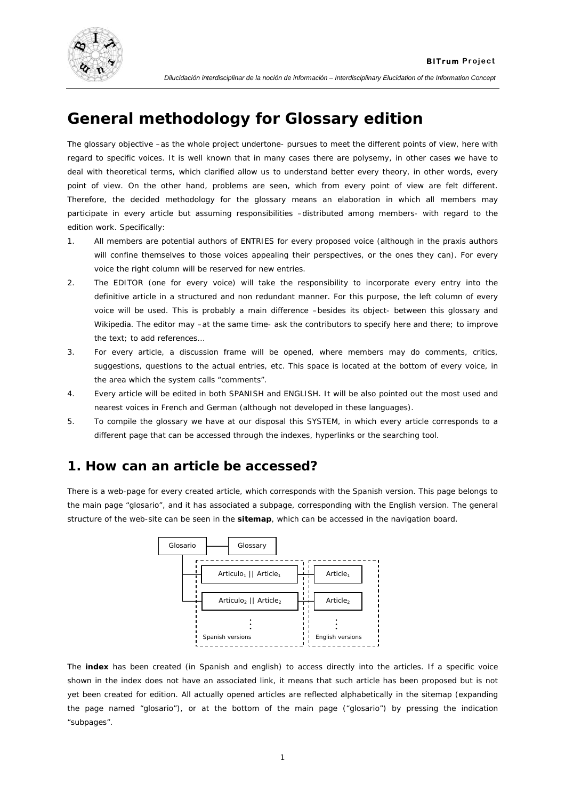

**BITrum Project** 

# **General methodology for Glossary edition**

The glossary objective –as the whole project undertone- pursues to meet the different points of view, here with regard to specific voices. It is well known that in many cases there are polysemy, in other cases we have to deal with theoretical terms, which clarified allow us to understand better every theory, in other words, every point of view. On the other hand, problems are seen, which from every point of view are felt different. Therefore, the decided methodology for the glossary means an elaboration in which all members may participate in every article but assuming responsibilities –distributed among members- with regard to the edition work. Specifically:

- 1. All members are potential authors of ENTRIES for every proposed voice (although in the praxis authors will confine themselves to those voices appealing their perspectives, or the ones they can). For every voice the *right column* will be reserved for new entries.
- 2. The EDITOR (one for every voice) will take the responsibility to incorporate every entry into the definitive article in a structured and non redundant manner. For this purpose, the left column of every voice will be used. This is probably a main difference –besides its object- between this glossary and Wikipedia. The editor may –at the same time- ask the contributors to specify here and there; to improve the text; to add references…
- 3. For every article, a discussion frame will be opened, where members may do comments, critics, suggestions, questions to the actual entries, etc. This space is located at the bottom of every voice, in the area which the system calls "comments".
- 4. Every article will be edited in both SPANISH and ENGLISH. It will be also pointed out the most used and nearest voices in French and German (although not developed in these languages).
- 5. To compile the glossary we have at our disposal this SYSTEM, in which every article corresponds to a different page that can be accessed through the indexes, hyperlinks or the searching tool.

### **1. How can an article be accessed?**

There is a web-page for every created article, which corresponds with the Spanish version. This page belongs to the main page "glosario", and it has associated a subpage, corresponding with the English version. The general structure of the web-site can be seen in the **sitemap**, which can be accessed in the navigation board.



The **index** has been created (in Spanish and english) to access directly into the articles. If a specific voice shown in the index does not have an associated link, it means that such article has been proposed but is not yet been created for edition. All actually opened articles are reflected alphabetically in the sitemap (expanding the page named "glosario"), or at the bottom of the main page ("glosario") by pressing the indication "*subpages*".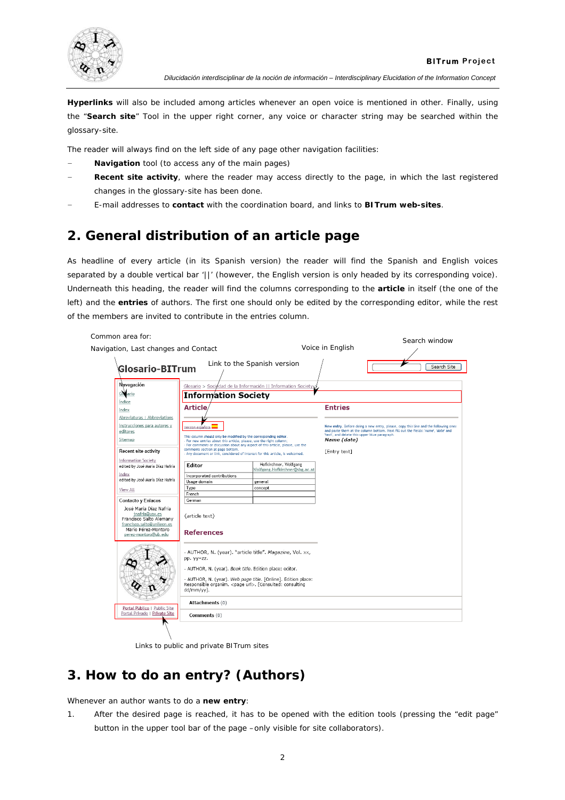

**Hyperlinks** will also be included among articles whenever an open voice is mentioned in other. Finally, using the "**Search site**" Tool in the upper right corner, any voice or character string may be searched within the glossary-site.

The reader will always find on the left side of any page other navigation facilities:

- − **Navigation** tool (to access any of the main pages)
- **Recent site activity**, where the reader may access directly to the page, in which the last registered changes in the glossary-site has been done.
- − E-mail addresses to **contact** with the coordination board, and links to **BITrum web-sites**.

# **2. General distribution of an article page**

As headline of every article (in its Spanish version) the reader will find the Spanish and English voices separated by a double vertical bar '||' (however, the English version is only headed by its corresponding voice). Underneath this heading, the reader will find the columns corresponding to the **article** in itself (the one of the left) and the **entries** of authors. The first one should only be edited by the corresponding editor, while the rest of the members are invited to contribute in the entries column.

| Common area for:<br>Navigation, Last changes and Contact                                                                                         |                                                                                                                                                                                                                                                                              |                                                                                                                                                               | Voice in English                                                                                                                                                                                                                        | Search window |  |
|--------------------------------------------------------------------------------------------------------------------------------------------------|------------------------------------------------------------------------------------------------------------------------------------------------------------------------------------------------------------------------------------------------------------------------------|---------------------------------------------------------------------------------------------------------------------------------------------------------------|-----------------------------------------------------------------------------------------------------------------------------------------------------------------------------------------------------------------------------------------|---------------|--|
| Glosario-BITrum                                                                                                                                  |                                                                                                                                                                                                                                                                              | Link to the Spanish version                                                                                                                                   |                                                                                                                                                                                                                                         | Search Site   |  |
| Navegación                                                                                                                                       |                                                                                                                                                                                                                                                                              | Glosario > Sociedad de la Información    Information Society                                                                                                  |                                                                                                                                                                                                                                         |               |  |
| Gle ario                                                                                                                                         | <b>Information Society</b>                                                                                                                                                                                                                                                   |                                                                                                                                                               |                                                                                                                                                                                                                                         |               |  |
| <i><b>Indice</b></i>                                                                                                                             | <b>Article</b>                                                                                                                                                                                                                                                               |                                                                                                                                                               | <b>Entries</b>                                                                                                                                                                                                                          |               |  |
| Index                                                                                                                                            |                                                                                                                                                                                                                                                                              |                                                                                                                                                               |                                                                                                                                                                                                                                         |               |  |
| Abreviaturas   Abbreviations<br>Instrucciones para autores y<br>editores                                                                         | Version española<br>This column should only be modified by the corresponding editor.<br>- For new entries about this article, please, use the right column;                                                                                                                  |                                                                                                                                                               | New entry. Before doing a new entry, please, copy this line and the following ones<br>and paste them at the column bottom. Next fill out the fields: 'name', 'date' and<br>'text', and delete this upper blue paragraph.<br>Name (date) |               |  |
| Sitemap                                                                                                                                          |                                                                                                                                                                                                                                                                              |                                                                                                                                                               |                                                                                                                                                                                                                                         |               |  |
| Recent site activity                                                                                                                             | comments section at page bottom.                                                                                                                                                                                                                                             | For comments or discussion about any aspect of this article, please, use the<br>- Any document or link, considered of interest for this article, is welcomed. |                                                                                                                                                                                                                                         |               |  |
| <b>Information Society</b><br>edited by José María Díaz Nafría                                                                                   | Editor                                                                                                                                                                                                                                                                       | Hofkirchner, Wolfgang<br>Wolfgang.Hofkirchner@sbg.ac.at                                                                                                       |                                                                                                                                                                                                                                         |               |  |
| Index                                                                                                                                            | Incorporated contributions                                                                                                                                                                                                                                                   |                                                                                                                                                               |                                                                                                                                                                                                                                         |               |  |
| edited by José María Díaz Nafría                                                                                                                 | Usage domain                                                                                                                                                                                                                                                                 | general                                                                                                                                                       |                                                                                                                                                                                                                                         |               |  |
| View All                                                                                                                                         | Type<br>French                                                                                                                                                                                                                                                               | concept                                                                                                                                                       |                                                                                                                                                                                                                                         |               |  |
| Contacto y Enlaces                                                                                                                               | German                                                                                                                                                                                                                                                                       |                                                                                                                                                               |                                                                                                                                                                                                                                         |               |  |
| José María Díaz Nafría<br>inafria@uax.es<br>Francisco Salto Alemany<br>francisco.salto@unileon.es<br>Mario Pérez-Montoro<br>perez-montoro@ub.edu | {article text}<br><b>References</b>                                                                                                                                                                                                                                          |                                                                                                                                                               |                                                                                                                                                                                                                                         |               |  |
|                                                                                                                                                  | - AUTHOR, N. (year). "article title". Magazine, Vol. xx,<br>pp. yy-zz.<br>- AUTHOR, N. (year). Book title. Edition place: editor.<br>- AUTHOR, N. (year). Web page title. [Online]. Edition place:<br>Responsible organim. < page url>. [Consulted: consulting<br>dd/mm/yy]. |                                                                                                                                                               |                                                                                                                                                                                                                                         |               |  |
|                                                                                                                                                  |                                                                                                                                                                                                                                                                              |                                                                                                                                                               |                                                                                                                                                                                                                                         |               |  |
|                                                                                                                                                  |                                                                                                                                                                                                                                                                              |                                                                                                                                                               |                                                                                                                                                                                                                                         |               |  |
| Portal Público   Public Site                                                                                                                     | Attachments (0)                                                                                                                                                                                                                                                              |                                                                                                                                                               |                                                                                                                                                                                                                                         |               |  |
| Portal Privado   Private Site                                                                                                                    | Comments (0)                                                                                                                                                                                                                                                                 |                                                                                                                                                               |                                                                                                                                                                                                                                         |               |  |

Links to public and private BITrum sites

# **3. How to do an entry? (Authors)**

Whenever an author wants to do a **new entry**:

1. After the desired page is reached, it has to be opened with the edition tools (pressing the "edit page" button in the upper tool bar of the page –only visible for site collaborators).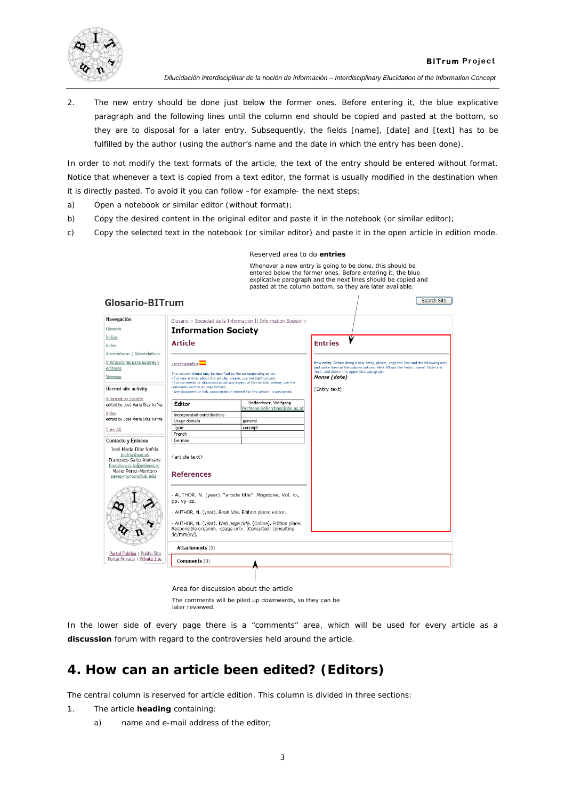

2. The new entry should be done just below the former ones. Before entering it, the blue explicative paragraph and the following lines until the column end should be copied and pasted at the bottom, so they are to disposal for a later entry. Subsequently, the fields [name], [date] and [text] has to be fulfilled by the author (using the author's name and the date in which the entry has been done).

In order to not modify the text formats of the article, the text of the entry should be entered without format. Notice that whenever a text is copied from a text editor, the format is usually modified in the destination when it is directly pasted. To avoid it you can follow –for example- the next steps:

- a) Open a notebook or similar editor (without format);
- b) Copy the desired content in the original editor and paste it in the notebook (or similar editor);
- c) Copy the selected text in the notebook (or similar editor) and paste it in the open article in edition mode.

|                                                                                                                                                                        |                                                                                                                                                       | Reserved area to do entries                                                                                               |                                                                                                                                                                                                                                                       |             |  |  |
|------------------------------------------------------------------------------------------------------------------------------------------------------------------------|-------------------------------------------------------------------------------------------------------------------------------------------------------|---------------------------------------------------------------------------------------------------------------------------|-------------------------------------------------------------------------------------------------------------------------------------------------------------------------------------------------------------------------------------------------------|-------------|--|--|
|                                                                                                                                                                        |                                                                                                                                                       |                                                                                                                           | Whenever a new entry is going to be done, this should be<br>entered below the former ones. Before entering it, the blue<br>explicative paragraph and the next lines should be copied and<br>pasted at the column bottom, so they are later available. |             |  |  |
| <b>Glosario-BITrum</b>                                                                                                                                                 |                                                                                                                                                       |                                                                                                                           |                                                                                                                                                                                                                                                       | Search Site |  |  |
| Navegación                                                                                                                                                             |                                                                                                                                                       | Glosario > Sociedad de la Información    Information Society >                                                            |                                                                                                                                                                                                                                                       |             |  |  |
| Glosario                                                                                                                                                               | <b>Information Society</b>                                                                                                                            |                                                                                                                           |                                                                                                                                                                                                                                                       |             |  |  |
| Indice                                                                                                                                                                 |                                                                                                                                                       |                                                                                                                           |                                                                                                                                                                                                                                                       |             |  |  |
| Index                                                                                                                                                                  | <b>Article</b>                                                                                                                                        |                                                                                                                           | <b>Entries</b>                                                                                                                                                                                                                                        |             |  |  |
| Abreviaturas   Abbreviations                                                                                                                                           |                                                                                                                                                       |                                                                                                                           |                                                                                                                                                                                                                                                       |             |  |  |
| Instrucciones para autores y                                                                                                                                           | Version española                                                                                                                                      |                                                                                                                           | New entry. Before doing a new entry, please, copy this line and the following ones                                                                                                                                                                    |             |  |  |
| editores                                                                                                                                                               | This column should only be modified by the corresponding editor.                                                                                      |                                                                                                                           | and paste them at the column bottom. Next fill out the fields: 'name', 'date' and<br>'text', and delete this upper blue paragraph.                                                                                                                    |             |  |  |
| Sitemap                                                                                                                                                                | - For new entries about this article, please, use the right column;<br>- For comments or discussion about any aspect of this article, please, use the |                                                                                                                           | Name (date)                                                                                                                                                                                                                                           |             |  |  |
| <b>Recent site activity</b>                                                                                                                                            | comments section at page bottom.<br>- Any document or link, considered of interest for this article, is welcomed.                                     |                                                                                                                           | [Entry text]                                                                                                                                                                                                                                          |             |  |  |
| <b>Information Society</b>                                                                                                                                             |                                                                                                                                                       |                                                                                                                           |                                                                                                                                                                                                                                                       |             |  |  |
| edited by José María Díaz Nafría                                                                                                                                       | Editor                                                                                                                                                | Hofkirchner, Wolfgang<br>Wolfgang.Hofkirchner@sbg.ac.at                                                                   |                                                                                                                                                                                                                                                       |             |  |  |
| Index                                                                                                                                                                  | Incorporated contributions                                                                                                                            |                                                                                                                           |                                                                                                                                                                                                                                                       |             |  |  |
| edited by José María Díaz Nafría                                                                                                                                       | Usage domain                                                                                                                                          | general                                                                                                                   |                                                                                                                                                                                                                                                       |             |  |  |
| View All                                                                                                                                                               | Type                                                                                                                                                  | concept                                                                                                                   |                                                                                                                                                                                                                                                       |             |  |  |
|                                                                                                                                                                        | French<br>German                                                                                                                                      |                                                                                                                           |                                                                                                                                                                                                                                                       |             |  |  |
| Contacto y Enlaces<br>José María Díaz Nafría<br>inafria@uax.es<br>Francisco Salto Alemany<br>francisco.salto@unileon.es<br>Mario Pérez-Montoro<br>perez-montoro@ub.edu | {article text}<br><b>References</b>                                                                                                                   |                                                                                                                           |                                                                                                                                                                                                                                                       |             |  |  |
|                                                                                                                                                                        | pp. yy-zz.<br>- AUTHOR, N. (year). Book title. Edition place: editor.                                                                                 | - AUTHOR, N. (year). "article title". Magazine, Vol. xx,<br>- AUTHOR, N. (year). Web page title. [Online]. Edition place: |                                                                                                                                                                                                                                                       |             |  |  |
|                                                                                                                                                                        | Responsible organim. <page url="">. [Consulted: consulting<br/>dd/mm/vv1.</page>                                                                      |                                                                                                                           |                                                                                                                                                                                                                                                       |             |  |  |
| Portal Público   Public Site                                                                                                                                           |                                                                                                                                                       | Attachments (0)                                                                                                           |                                                                                                                                                                                                                                                       |             |  |  |
| Portal Privado   Private Site                                                                                                                                          | Comments (0)                                                                                                                                          |                                                                                                                           |                                                                                                                                                                                                                                                       |             |  |  |
|                                                                                                                                                                        | Area for discussion about the article                                                                                                                 |                                                                                                                           |                                                                                                                                                                                                                                                       |             |  |  |

The comments will be piled up downwards, so they can be later reviewed.

In the lower side of every page there is a "comments" area, which will be used for every article as a **discussion** forum with regard to the controversies held around the article.

### **4. How can an article been edited? (Editors)**

The central column is reserved for article edition. This column is divided in three sections:

- 1. The article **heading** containing:
	- a) *name* and *e-mail* address of the *editor*;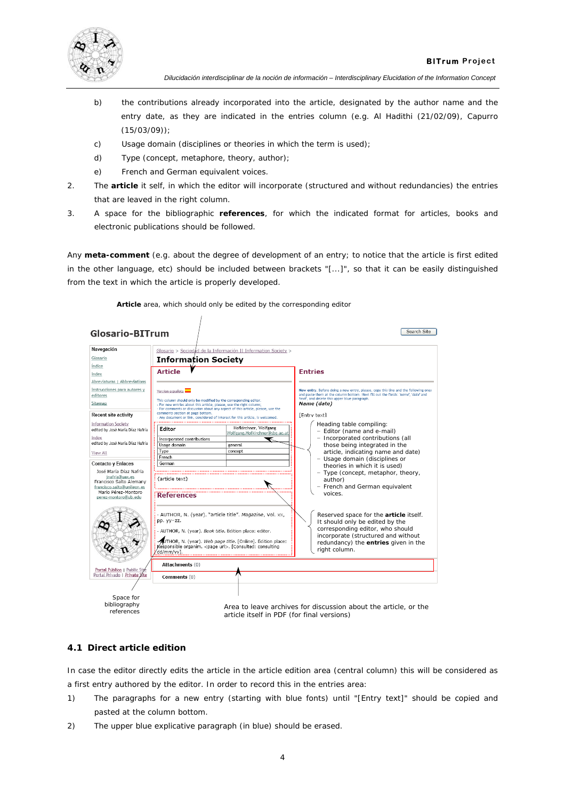

- b) the *contributions* already incorporated into the article, designated by the author name and the entry date, as they are indicated in the entries column (*e.g.* Al Hadithi (21/02/09), Capurro (15/03/09));
- c) *Usage domain* (disciplines or theories in which the term is used);
- d) *Type* (concept, metaphore, theory, author);
- e) *French* and *German* equivalent voices.
- 2. The **article** it self, in which the editor will incorporate (structured and without redundancies) the entries that are leaved in the right column.
- 3. A space for the bibliographic **references**, for which the indicated format for articles, books and electronic publications should be followed.

Any **meta-comment** (e.g. about the degree of development of an entry; to notice that the article is first edited in the other language, etc) should be included between brackets "[...]", so that it can be easily distinguished from the text in which the article is properly developed.

#### **Article** area, which should only be edited by the corresponding editor

 $\overline{1}$ 

| Glosario-BITrum                                                         |                                                                                                                                                                                                                           | Search Site                                                                                                                                                                                                                             |  |  |  |
|-------------------------------------------------------------------------|---------------------------------------------------------------------------------------------------------------------------------------------------------------------------------------------------------------------------|-----------------------------------------------------------------------------------------------------------------------------------------------------------------------------------------------------------------------------------------|--|--|--|
| Navegación                                                              | Glosario > Sociedad de la Información    Information Society >                                                                                                                                                            |                                                                                                                                                                                                                                         |  |  |  |
| Glosario                                                                | <b>Information Society</b>                                                                                                                                                                                                |                                                                                                                                                                                                                                         |  |  |  |
| Indice                                                                  |                                                                                                                                                                                                                           |                                                                                                                                                                                                                                         |  |  |  |
| Index                                                                   | <b>Article</b>                                                                                                                                                                                                            | <b>Entries</b>                                                                                                                                                                                                                          |  |  |  |
| Abreviaturas   Abbreviations                                            |                                                                                                                                                                                                                           |                                                                                                                                                                                                                                         |  |  |  |
| Instrucciones para autores y<br>editores                                | Version española                                                                                                                                                                                                          | New entry. Before doing a new entry, please, copy this line and the following ones<br>and paste them at the column bottom. Next fill out the fields: 'name', 'date' and<br>'text', and delete this upper blue paragraph.<br>Name (date) |  |  |  |
| Sitemap                                                                 | This column should only be modified by the corresponding editor.<br>- For new entries about this article, please, use the right column;<br>- For comments or discussion about any aspect of this article, please, use the |                                                                                                                                                                                                                                         |  |  |  |
| Recent site activity                                                    | comments section at page bottom.<br>- Any document or link, considered of interest for this article, is welcomed.                                                                                                         | <b>FEntry text1</b>                                                                                                                                                                                                                     |  |  |  |
| <b>Information Society</b><br>edited by José María Díaz Nafría          | Hofkirchner, Wolfgang<br>Editor<br>Wolfgang.Hofkirchner@sbg.ac.at                                                                                                                                                         | Heading table compiling:<br>- Editor (name and e-mail)                                                                                                                                                                                  |  |  |  |
| Index                                                                   | Incorporated contributions<br>ĸ                                                                                                                                                                                           | - Incorporated contributions (all                                                                                                                                                                                                       |  |  |  |
| edited by José María Díaz Nafría                                        | Usage domain<br>eeneral                                                                                                                                                                                                   | those being integrated in the                                                                                                                                                                                                           |  |  |  |
| View All                                                                | Type<br>concept                                                                                                                                                                                                           | article, indicating name and date)                                                                                                                                                                                                      |  |  |  |
| Contacto y Enlaces                                                      | French<br>German                                                                                                                                                                                                          | - Usage domain (disciplines or                                                                                                                                                                                                          |  |  |  |
| José María Díaz Nafría                                                  |                                                                                                                                                                                                                           | theories in which it is used)                                                                                                                                                                                                           |  |  |  |
| jnafria@uax.es<br>Francisco Salto Alemany<br>francisco.salto@unileon.es | {article text}                                                                                                                                                                                                            | - Type (concept, metaphor, theory,<br>author)<br>- French and German equivalent                                                                                                                                                         |  |  |  |
| Mario Pérez-Montoro<br>perez-montoro@ub.edu                             | <b>References</b>                                                                                                                                                                                                         | voices.                                                                                                                                                                                                                                 |  |  |  |
|                                                                         | - AUTHOR, N. (year). "article title". Magazine, Vol. xx,<br>pp. yy-zz.<br>- AUTHOR, N. (year). Book title. Edition place: editor.                                                                                         | Reserved space for the article itself.<br>It should only be edited by the<br>corresponding editor, who should                                                                                                                           |  |  |  |
|                                                                         | AUTHOR, N. (year). Web page title. [Online]. Edition place:<br>Responsible organim. < page url>. [Consulted: consulting<br>dd/mm/vv1.                                                                                     | incorporate (structured and without<br>redundancy) the entries given in the<br>right column.                                                                                                                                            |  |  |  |
| Portal Público   Public Sité                                            | Attachments (0)                                                                                                                                                                                                           |                                                                                                                                                                                                                                         |  |  |  |
| Portal Privado   Private Site                                           | Comments (0)                                                                                                                                                                                                              |                                                                                                                                                                                                                                         |  |  |  |
|                                                                         |                                                                                                                                                                                                                           |                                                                                                                                                                                                                                         |  |  |  |
| Space for                                                               |                                                                                                                                                                                                                           |                                                                                                                                                                                                                                         |  |  |  |
| bibliography                                                            |                                                                                                                                                                                                                           | Area to leave archives for discussion about the article, or the                                                                                                                                                                         |  |  |  |
| references                                                              | article itself in PDF (for final versions)                                                                                                                                                                                |                                                                                                                                                                                                                                         |  |  |  |

#### **4.1 Direct article edition**

In case the editor directly edits the article in the article edition area (central column) this will be considered as a first entry authored by the editor. In order to record this in the entries area:

- 1) The paragraphs for a new entry (starting with blue fonts) until "[Entry text]" should be copied and pasted at the column bottom.
- 2) The upper blue explicative paragraph (in blue) should be erased.